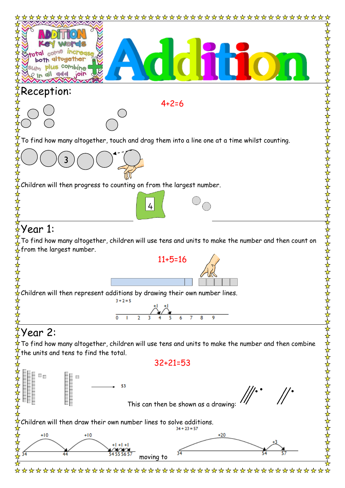